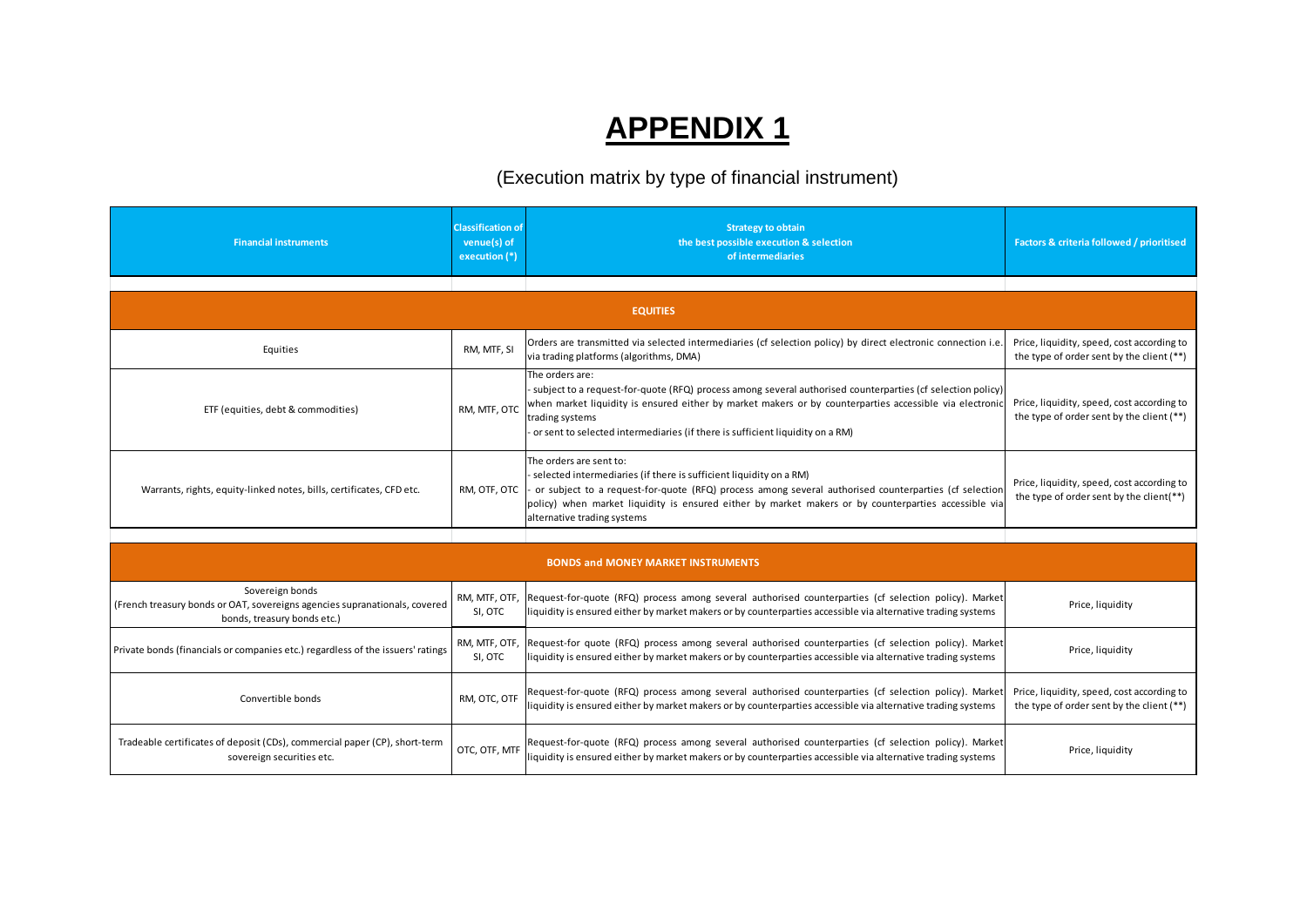## **APPENDIX 1**

## (Execution matrix by type of financial instrument)

| <b>Financial instruments</b>                                                                                                 | <b>Classification of</b><br>venue(s) of<br>execution (*) | <b>Strategy to obtain</b><br>the best possible execution & selection<br>of intermediaries                                                                                                                                                                                                                                                     | Factors & criteria followed / prioritised                                               |
|------------------------------------------------------------------------------------------------------------------------------|----------------------------------------------------------|-----------------------------------------------------------------------------------------------------------------------------------------------------------------------------------------------------------------------------------------------------------------------------------------------------------------------------------------------|-----------------------------------------------------------------------------------------|
|                                                                                                                              |                                                          |                                                                                                                                                                                                                                                                                                                                               |                                                                                         |
|                                                                                                                              |                                                          | <b>EQUITIES</b>                                                                                                                                                                                                                                                                                                                               |                                                                                         |
| Equities                                                                                                                     | RM, MTF, SI                                              | Orders are transmitted via selected intermediaries (cf selection policy) by direct electronic connection i.e<br>via trading platforms (algorithms, DMA)                                                                                                                                                                                       | Price, liquidity, speed, cost according to<br>the type of order sent by the client (**) |
| ETF (equities, debt & commodities)                                                                                           | RM. MTF. OTC                                             | The orders are:<br>subject to a request-for-quote (RFQ) process among several authorised counterparties (cf selection policy)<br>when market liquidity is ensured either by market makers or by counterparties accessible via electronic<br>trading systems<br>or sent to selected intermediaries (if there is sufficient liquidity on a RM)  | Price, liquidity, speed, cost according to<br>the type of order sent by the client (**) |
| Warrants, rights, equity-linked notes, bills, certificates, CFD etc.                                                         | RM, OTF, OTC                                             | The orders are sent to:<br>selected intermediaries (if there is sufficient liquidity on a RM)<br>or subject to a request-for-quote (RFQ) process among several authorised counterparties (cf selection<br>policy) when market liquidity is ensured either by market makers or by counterparties accessible via<br>alternative trading systems | Price, liquidity, speed, cost according to<br>the type of order sent by the client(**)  |
|                                                                                                                              |                                                          |                                                                                                                                                                                                                                                                                                                                               |                                                                                         |
| <b>BONDS and MONEY MARKET INSTRUMENTS</b>                                                                                    |                                                          |                                                                                                                                                                                                                                                                                                                                               |                                                                                         |
| Sovereign bonds<br>(French treasury bonds or OAT, sovereigns agencies supranationals, covered<br>bonds, treasury bonds etc.) | RM, MTF, OTF,<br>SI, OTC                                 | Request-for-quote (RFQ) process among several authorised counterparties (cf selection policy). Market<br>iquidity is ensured either by market makers or by counterparties accessible via alternative trading systems                                                                                                                          | Price, liquidity                                                                        |
|                                                                                                                              |                                                          | <b>DM MTE OTE Boquest for quote (BEO)</b> process among several authorised counterparties (of selection policy). Market                                                                                                                                                                                                                       |                                                                                         |

|                                                                                                                              |                          | anternative trading systems.                                                                                                                                                                                          |                                                                                         |
|------------------------------------------------------------------------------------------------------------------------------|--------------------------|-----------------------------------------------------------------------------------------------------------------------------------------------------------------------------------------------------------------------|-----------------------------------------------------------------------------------------|
|                                                                                                                              |                          |                                                                                                                                                                                                                       |                                                                                         |
| <b>BONDS and MONEY MARKET INSTRUMENTS</b>                                                                                    |                          |                                                                                                                                                                                                                       |                                                                                         |
| Sovereign bonds<br>(French treasury bonds or OAT, sovereigns agencies supranationals, covered<br>bonds, treasury bonds etc.) | RM, MTF, OTF,<br>SI, OTC | Request-for-quote (RFQ) process among several authorised counterparties (cf selection policy). Market<br>liquidity is ensured either by market makers or by counterparties accessible via alternative trading systems | Price, liquidity                                                                        |
| Private bonds (financials or companies etc.) regardless of the issuers' ratings                                              | RM, MTF, OTF,<br>SI, OTC | Request-for quote (RFQ) process among several authorised counterparties (cf selection policy). Market<br>liquidity is ensured either by market makers or by counterparties accessible via alternative trading systems | Price, liquidity                                                                        |
| Convertible bonds                                                                                                            | RM, OTC, OTF             | Request-for-quote (RFQ) process among several authorised counterparties (cf selection policy). Market<br>liquidity is ensured either by market makers or by counterparties accessible via alternative trading systems | Price, liquidity, speed, cost according to<br>the type of order sent by the client (**) |
| Tradeable certificates of deposit (CDs), commercial paper (CP), short-term<br>sovereign securities etc.                      | OTC, OTF, MTF            | Request-for-quote (RFQ) process among several authorised counterparties (cf selection policy). Market<br>liquidity is ensured either by market makers or by counterparties accessible via alternative trading systems | Price, liquidity                                                                        |
|                                                                                                                              |                          |                                                                                                                                                                                                                       |                                                                                         |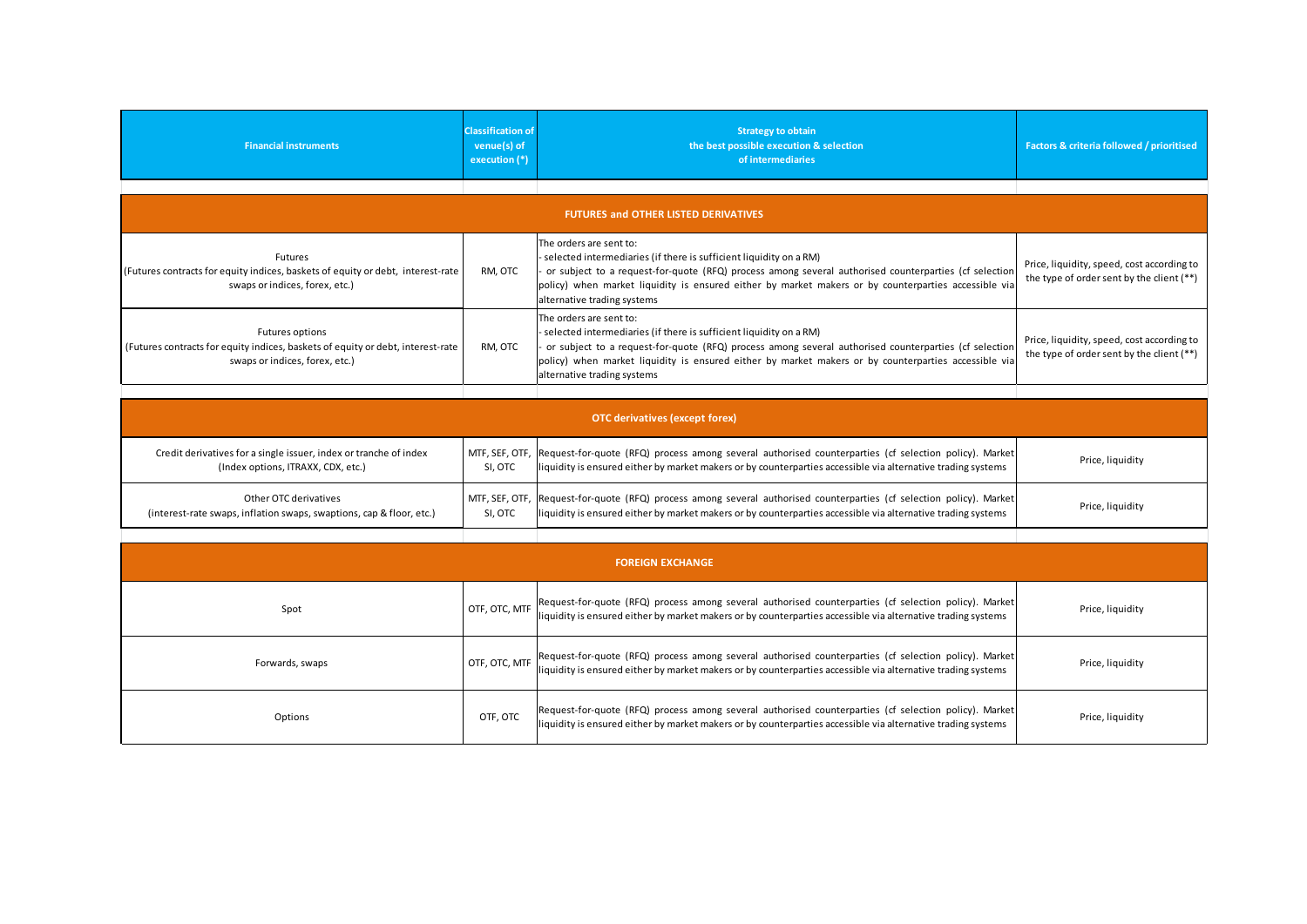| <b>Financial instruments</b>                                                                                                                | <b>Classification of</b><br>venue(s) of<br>execution (*) | <b>Strategy to obtain</b><br>the best possible execution & selection<br>of intermediaries                                                                                                                                                                                                                                                     | <b>Factors &amp; criteria followed / prioritised</b>                                    |
|---------------------------------------------------------------------------------------------------------------------------------------------|----------------------------------------------------------|-----------------------------------------------------------------------------------------------------------------------------------------------------------------------------------------------------------------------------------------------------------------------------------------------------------------------------------------------|-----------------------------------------------------------------------------------------|
|                                                                                                                                             |                                                          |                                                                                                                                                                                                                                                                                                                                               |                                                                                         |
|                                                                                                                                             |                                                          | <b>FUTURES and OTHER LISTED DERIVATIVES</b>                                                                                                                                                                                                                                                                                                   |                                                                                         |
| Futures<br>(Futures contracts for equity indices, baskets of equity or debt, interest-rate<br>swaps or indices, forex, etc.)                | RM, OTC                                                  | The orders are sent to:<br>selected intermediaries (if there is sufficient liquidity on a RM)<br>or subject to a request-for-quote (RFQ) process among several authorised counterparties (cf selection<br>policy) when market liquidity is ensured either by market makers or by counterparties accessible via<br>alternative trading systems | Price, liquidity, speed, cost according to<br>the type of order sent by the client (**) |
| <b>Futures options</b><br>(Futures contracts for equity indices, baskets of equity or debt, interest-rate<br>swaps or indices, forex, etc.) | RM, OTC                                                  | The orders are sent to:<br>selected intermediaries (if there is sufficient liquidity on a RM)<br>or subject to a request-for-quote (RFQ) process among several authorised counterparties (cf selection<br>policy) when market liquidity is ensured either by market makers or by counterparties accessible via<br>alternative trading systems | Price, liquidity, speed, cost according to<br>the type of order sent by the client (**) |
|                                                                                                                                             |                                                          |                                                                                                                                                                                                                                                                                                                                               |                                                                                         |
|                                                                                                                                             |                                                          | <b>OTC</b> derivatives (except forex)                                                                                                                                                                                                                                                                                                         |                                                                                         |
| Credit derivatives for a single issuer, index or tranche of index<br>(Index options, ITRAXX, CDX, etc.)                                     | MTF, SEF, OTF,<br>SI, OTC                                | Request-for-quote (RFQ) process among several authorised counterparties (cf selection policy). Market<br>liquidity is ensured either by market makers or by counterparties accessible via alternative trading systems                                                                                                                         | Price, liquidity                                                                        |
| Other OTC derivatives<br>(interest-rate swaps, inflation swaps, swaptions, cap & floor, etc.)                                               | MTF, SEF, OTF,<br>SI, OTC                                | Request-for-quote (RFQ) process among several authorised counterparties (cf selection policy). Market<br>liquidity is ensured either by market makers or by counterparties accessible via alternative trading systems                                                                                                                         | Price, liquidity                                                                        |
|                                                                                                                                             |                                                          |                                                                                                                                                                                                                                                                                                                                               |                                                                                         |
|                                                                                                                                             |                                                          | <b>FOREIGN EXCHANGE</b>                                                                                                                                                                                                                                                                                                                       |                                                                                         |
| Spot                                                                                                                                        | OTF, OTC, MTF                                            | Request-for-quote (RFQ) process among several authorised counterparties (cf selection policy). Market<br>liquidity is ensured either by market makers or by counterparties accessible via alternative trading systems                                                                                                                         | Price, liquidity                                                                        |
| Forwards, swaps                                                                                                                             | OTF, OTC, MTF                                            | Request-for-quote (RFQ) process among several authorised counterparties (cf selection policy). Market<br>liquidity is ensured either by market makers or by counterparties accessible via alternative trading systems                                                                                                                         | Price, liquidity                                                                        |
| Options                                                                                                                                     | OTF, OTC                                                 | Request-for-quote (RFQ) process among several authorised counterparties (cf selection policy). Market<br>liquidity is ensured either by market makers or by counterparties accessible via alternative trading systems                                                                                                                         | Price, liquidity                                                                        |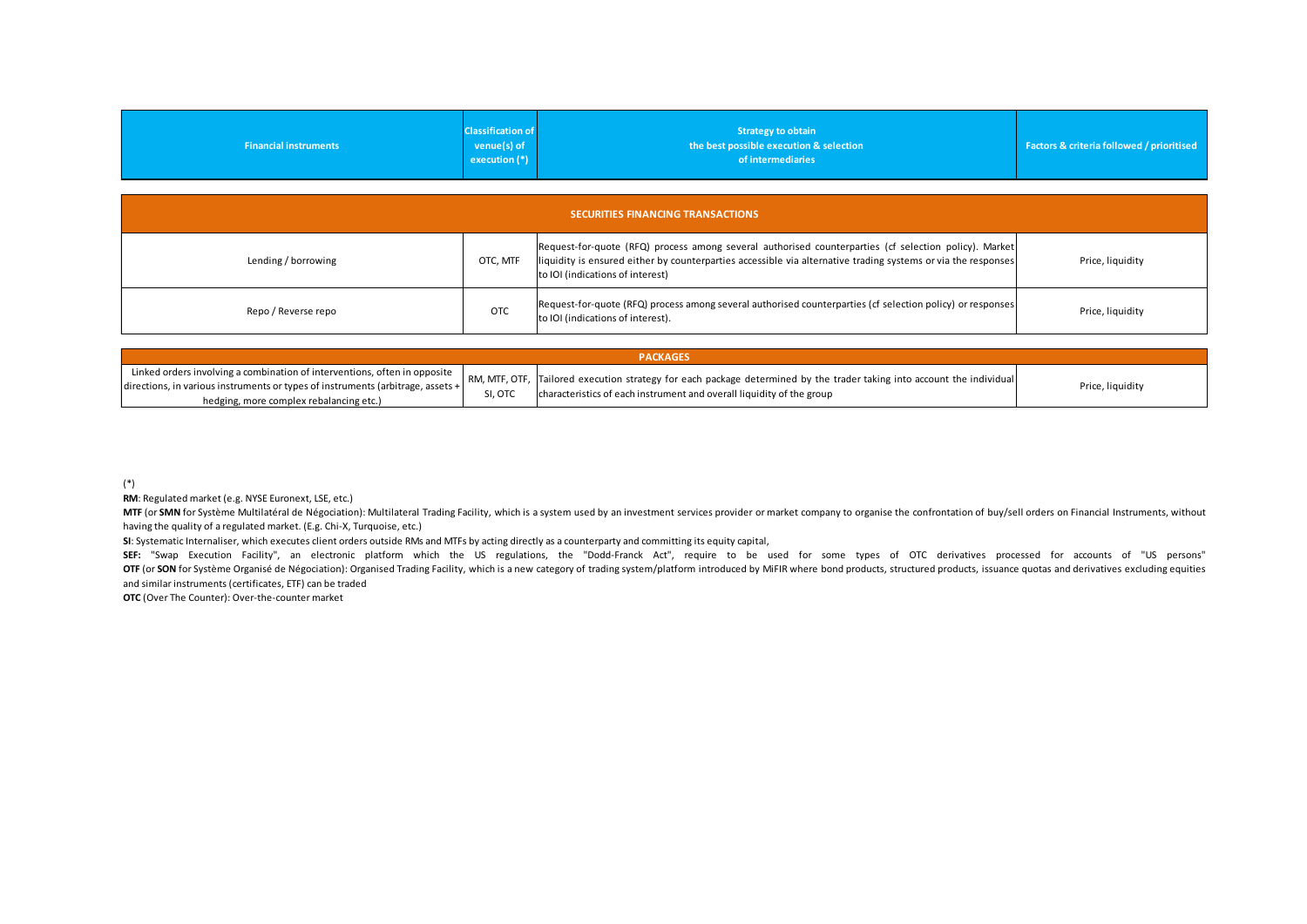|                              | <b>Classification of</b>   | <b>Strategy to obtain</b>               |                                                      |
|------------------------------|----------------------------|-----------------------------------------|------------------------------------------------------|
| <b>Financial instruments</b> | $v$ enue(s) of             | the best possible execution & selection | <b>Factors &amp; criteria followed / prioritised</b> |
|                              | $\sqrt{e}$ execution $(*)$ | of intermediaries                       |                                                      |
|                              |                            |                                         |                                                      |

| <b>Financial instruments</b>                                                                                                                                                                            | <b>Classification of</b><br>venue(s) of<br>execution (*) | <b>Strategy to obtain</b><br>the best possible execution & selection<br>of intermediaries                                                                                                                                                                  | Factors & criteria followed / prioritised |
|---------------------------------------------------------------------------------------------------------------------------------------------------------------------------------------------------------|----------------------------------------------------------|------------------------------------------------------------------------------------------------------------------------------------------------------------------------------------------------------------------------------------------------------------|-------------------------------------------|
| <b>SECURITIES FINANCING TRANSACTIONS</b>                                                                                                                                                                |                                                          |                                                                                                                                                                                                                                                            |                                           |
| Lending / borrowing                                                                                                                                                                                     | OTC, MTF                                                 | Request-for-quote (RFQ) process among several authorised counterparties (cf selection policy). Market<br>liquidity is ensured either by counterparties accessible via alternative trading systems or via the responses<br>to IOI (indications of interest) | Price, liquidity                          |
| Repo / Reverse repo                                                                                                                                                                                     | <b>OTC</b>                                               | Request-for-quote (RFQ) process among several authorised counterparties (cf selection policy) or responses<br>to IOI (indications of interest).                                                                                                            | Price, liquidity                          |
|                                                                                                                                                                                                         |                                                          |                                                                                                                                                                                                                                                            |                                           |
| Linked orders involving a combination of interventions, often in opposite<br>directions, in various instruments or types of instruments (arbitrage, assets +<br>hedging, more complex rebalancing etc.) | RM, MTF, OTF,<br>SI, OTC                                 | <b>PACKAGES</b><br>Tailored execution strategy for each package determined by the trader taking into account the individual<br>characteristics of each instrument and overall liquidity of the group                                                       | Price, liquidity                          |

| <b>PACKAGES</b>                                                                                                                     |         |                                                                                                                                                                                                                                                                              |                  |  |
|-------------------------------------------------------------------------------------------------------------------------------------|---------|------------------------------------------------------------------------------------------------------------------------------------------------------------------------------------------------------------------------------------------------------------------------------|------------------|--|
| $\alpha$ directions, in various instruments or types of instruments (arbitrage, assets +<br>hedging, more complex rebalancing etc.) | SI, OTC | Linked orders involving a combination of interventions, often in opposite   RM, MTF, OTF,  Tailored execution strategy for each package determined by the trader taking into account the individual<br>characteristics of each instrument and overall liquidity of the group | Price, liquidity |  |

(\*)

RM: Regulated market (e.g. NYSE Euronext, LSE, etc.)<br>MTF (or SMN for Système Multilatéral de Négociation): Multilateral Trading Facility, which is a system used by an investment services provider or market company to organ (\*)<br>The diging, more complex rebalancing etc.)<br>MTF (or SMN for Systems Multilatéral de Négociation): Multilateral Trading Facility, which is a system used by an investment services provider or market company to organise th having the quality of a regulated market. (E.g. Chi-X, Turquoise, etc.)

SI: Systematic Internaliser, which executes client orders outside RMs and MTFs by acting directly as a counterparty and committing its equity capital,<br>SEF: "Swap Execution Facility", an electronic platform which the US reg (\*)<br>**RM:** Regulated market (e.g. NYSE Euronext, LSE, etc.)<br>BIT for SMN for Systeme Multilatéral de Négociation): Multilateral Trading Facility, which is a system used by an investment services provider or market company to (\*)<br>MM: Regulated market (e.g. NYSE Euronext, LSE, etc.)<br>MTF (or SMM for Systeme Multilateral de Négociation): Multilateral Trading Facility, which is a system used by an investment services provider or market company to o and similar instruments (certificates, ETF) can be traded

**OTC** (Over The Counter): Over-the-counter market